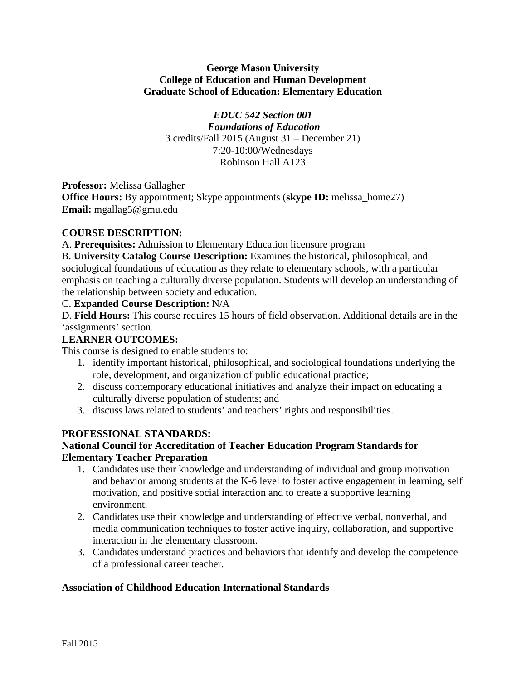## **George Mason University College of Education and Human Development Graduate School of Education: Elementary Education**

*EDUC 542 Section 001 Foundations of Education* 3 credits/Fall 2015 (August 31 – December 21) 7:20-10:00/Wednesdays Robinson Hall A123

**Professor:** Melissa Gallagher

**Office Hours:** By appointment; Skype appointments (**skype ID:** melissa\_home27) **Email:** mgallag5@gmu.edu

# **COURSE DESCRIPTION:**

A. **Prerequisites:** Admission to Elementary Education licensure program

B. **University Catalog Course Description:** Examines the historical, philosophical, and sociological foundations of education as they relate to elementary schools, with a particular emphasis on teaching a culturally diverse population. Students will develop an understanding of the relationship between society and education.

## C. **Expanded Course Description:** N/A

D. **Field Hours:** This course requires 15 hours of field observation. Additional details are in the 'assignments' section.

## **LEARNER OUTCOMES:**

This course is designed to enable students to:

- 1. identify important historical, philosophical, and sociological foundations underlying the role, development, and organization of public educational practice;
- 2. discuss contemporary educational initiatives and analyze their impact on educating a culturally diverse population of students; and
- 3. discuss laws related to students' and teachers' rights and responsibilities.

# **PROFESSIONAL STANDARDS:**

# **National Council for Accreditation of Teacher Education Program Standards for Elementary Teacher Preparation**

- 1. Candidates use their knowledge and understanding of individual and group motivation and behavior among students at the K-6 level to foster active engagement in learning, self motivation, and positive social interaction and to create a supportive learning environment.
- 2. Candidates use their knowledge and understanding of effective verbal, nonverbal, and media communication techniques to foster active inquiry, collaboration, and supportive interaction in the elementary classroom.
- 3. Candidates understand practices and behaviors that identify and develop the competence of a professional career teacher.

# **Association of Childhood Education International Standards**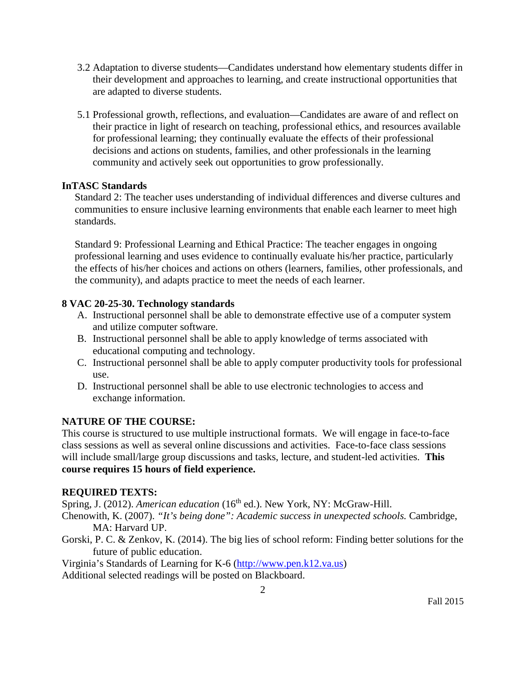- 3.2 Adaptation to diverse students—Candidates understand how elementary students differ in their development and approaches to learning, and create instructional opportunities that are adapted to diverse students.
- 5.1 Professional growth, reflections, and evaluation—Candidates are aware of and reflect on their practice in light of research on teaching, professional ethics, and resources available for professional learning; they continually evaluate the effects of their professional decisions and actions on students, families, and other professionals in the learning community and actively seek out opportunities to grow professionally.

## **InTASC Standards**

Standard 2: The teacher uses understanding of individual differences and diverse cultures and communities to ensure inclusive learning environments that enable each learner to meet high standards.

Standard 9: Professional Learning and Ethical Practice: The teacher engages in ongoing professional learning and uses evidence to continually evaluate his/her practice, particularly the effects of his/her choices and actions on others (learners, families, other professionals, and the community), and adapts practice to meet the needs of each learner.

# **8 VAC 20-25-30. Technology standards**

- A. Instructional personnel shall be able to demonstrate effective use of a computer system and utilize computer software.
- B. Instructional personnel shall be able to apply knowledge of terms associated with educational computing and technology.
- C. Instructional personnel shall be able to apply computer productivity tools for professional use.
- D. Instructional personnel shall be able to use electronic technologies to access and exchange information.

# **NATURE OF THE COURSE:**

This course is structured to use multiple instructional formats. We will engage in face-to-face class sessions as well as several online discussions and activities. Face-to-face class sessions will include small/large group discussions and tasks, lecture, and student-led activities. **This course requires 15 hours of field experience.** 

# **REQUIRED TEXTS:**

Spring, J. (2012). *American education* (16<sup>th</sup> ed.). New York, NY: McGraw-Hill.

Chenowith, K. (2007). *"It's being done": Academic success in unexpected schools.* Cambridge, MA: Harvard UP.

Gorski, P. C. & Zenkov, K. (2014). The big lies of school reform: Finding better solutions for the future of public education.

Virginia's Standards of Learning for K-6 [\(http://www.pen.k12.va.us\)](http://www.pen.k12.va.us/)

Additional selected readings will be posted on Blackboard.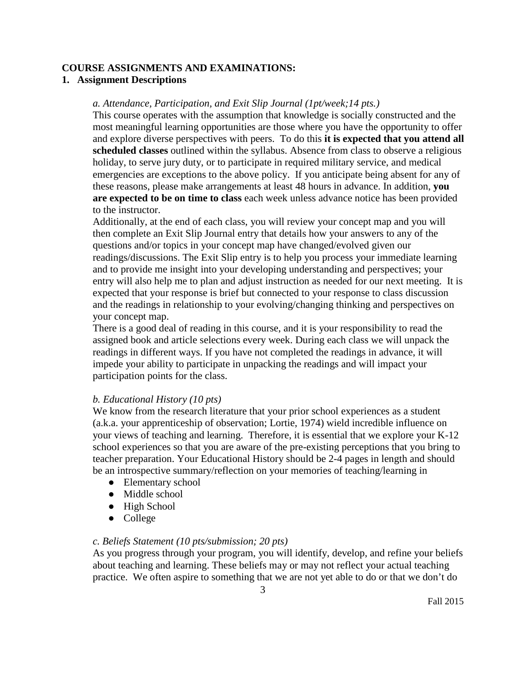#### **COURSE ASSIGNMENTS AND EXAMINATIONS:**

#### **1. Assignment Descriptions**

#### *a. Attendance, Participation, and Exit Slip Journal (1pt/week;14 pts.)*

This course operates with the assumption that knowledge is socially constructed and the most meaningful learning opportunities are those where you have the opportunity to offer and explore diverse perspectives with peers. To do this **it is expected that you attend all scheduled classes** outlined within the syllabus. Absence from class to observe a religious holiday, to serve jury duty, or to participate in required military service, and medical emergencies are exceptions to the above policy. If you anticipate being absent for any of these reasons, please make arrangements at least 48 hours in advance. In addition, **you are expected to be on time to class** each week unless advance notice has been provided to the instructor.

Additionally, at the end of each class, you will review your concept map and you will then complete an Exit Slip Journal entry that details how your answers to any of the questions and/or topics in your concept map have changed/evolved given our readings/discussions. The Exit Slip entry is to help you process your immediate learning and to provide me insight into your developing understanding and perspectives; your entry will also help me to plan and adjust instruction as needed for our next meeting. It is expected that your response is brief but connected to your response to class discussion and the readings in relationship to your evolving/changing thinking and perspectives on your concept map.

There is a good deal of reading in this course, and it is your responsibility to read the assigned book and article selections every week. During each class we will unpack the readings in different ways. If you have not completed the readings in advance, it will impede your ability to participate in unpacking the readings and will impact your participation points for the class.

## *b. Educational History (10 pts)*

We know from the research literature that your prior school experiences as a student (a.k.a. your apprenticeship of observation; Lortie, 1974) wield incredible influence on your views of teaching and learning. Therefore, it is essential that we explore your K-12 school experiences so that you are aware of the pre-existing perceptions that you bring to teacher preparation. Your Educational History should be 2-4 pages in length and should be an introspective summary/reflection on your memories of teaching/learning in

- Elementary school
- Middle school
- High School
- College

## *c. Beliefs Statement (10 pts/submission; 20 pts)*

As you progress through your program, you will identify, develop, and refine your beliefs about teaching and learning. These beliefs may or may not reflect your actual teaching practice. We often aspire to something that we are not yet able to do or that we don't do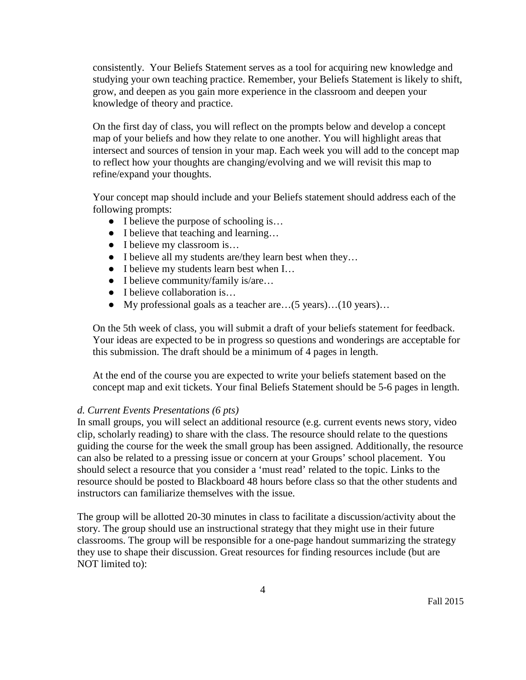consistently. Your Beliefs Statement serves as a tool for acquiring new knowledge and studying your own teaching practice. Remember, your Beliefs Statement is likely to shift, grow, and deepen as you gain more experience in the classroom and deepen your knowledge of theory and practice.

On the first day of class, you will reflect on the prompts below and develop a concept map of your beliefs and how they relate to one another. You will highlight areas that intersect and sources of tension in your map. Each week you will add to the concept map to reflect how your thoughts are changing/evolving and we will revisit this map to refine/expand your thoughts.

Your concept map should include and your Beliefs statement should address each of the following prompts:

- I believe the purpose of schooling is...
- I believe that teaching and learning...
- I believe my classroom is...
- I believe all my students are/they learn best when they…
- I believe my students learn best when I…
- I believe community/family is/are...
- I believe collaboration is...
- My professional goals as a teacher are…(5 years)…(10 years)…

On the 5th week of class, you will submit a draft of your beliefs statement for feedback. Your ideas are expected to be in progress so questions and wonderings are acceptable for this submission. The draft should be a minimum of 4 pages in length.

At the end of the course you are expected to write your beliefs statement based on the concept map and exit tickets. Your final Beliefs Statement should be 5-6 pages in length.

#### *d. Current Events Presentations (6 pts)*

In small groups, you will select an additional resource (e.g. current events news story, video clip, scholarly reading) to share with the class. The resource should relate to the questions guiding the course for the week the small group has been assigned. Additionally, the resource can also be related to a pressing issue or concern at your Groups' school placement. You should select a resource that you consider a 'must read' related to the topic. Links to the resource should be posted to Blackboard 48 hours before class so that the other students and instructors can familiarize themselves with the issue.

The group will be allotted 20-30 minutes in class to facilitate a discussion/activity about the story. The group should use an instructional strategy that they might use in their future classrooms. The group will be responsible for a one-page handout summarizing the strategy they use to shape their discussion. Great resources for finding resources include (but are NOT limited to):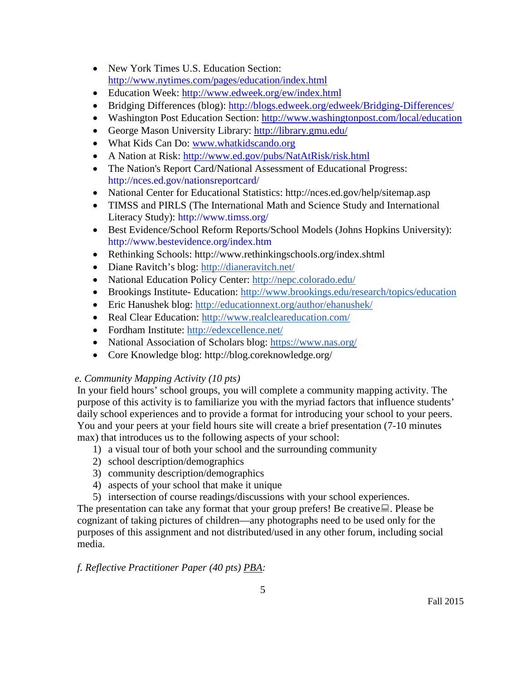- New York Times U.S. Education Section: <http://www.nytimes.com/pages/education/index.html>
- Education Week:<http://www.edweek.org/ew/index.html>
- Bridging Differences (blog):<http://blogs.edweek.org/edweek/Bridging-Differences/>
- Washington Post Education Section:<http://www.washingtonpost.com/local/education>
- George Mason University Library:<http://library.gmu.edu/>
- What Kids Can Do: [www.whatkidscando.org](http://www.whatkidscando.org/)
- A Nation at Risk:<http://www.ed.gov/pubs/NatAtRisk/risk.html>
- The Nation's Report Card/National Assessment of Educational Progress: http://nces.ed.gov/nationsreportcard/
- National Center for Educational Statistics: http://nces.ed.gov/help/sitemap.asp
- TIMSS and PIRLS (The International Math and Science Study and International Literacy Study): http://www.timss.org/
- Best Evidence/School Reform Reports/School Models (Johns Hopkins University): http://www.bestevidence.org/index.htm
- Rethinking Schools: http://www.rethinkingschools.org/index.shtml
- Diane Ravitch's blog:<http://dianeravitch.net/>
- National Education Policy Center:<http://nepc.colorado.edu/>
- Brookings Institute- Education:<http://www.brookings.edu/research/topics/education>
- Eric Hanushek blog:<http://educationnext.org/author/ehanushek/>
- Real Clear Education:<http://www.realcleareducation.com/>
- Fordham Institute:<http://edexcellence.net/>
- National Association of Scholars blog:<https://www.nas.org/>
- Core Knowledge blog: http://blog.coreknowledge.org/

# *e. Community Mapping Activity (10 pts)*

In your field hours' school groups, you will complete a community mapping activity. The purpose of this activity is to familiarize you with the myriad factors that influence students' daily school experiences and to provide a format for introducing your school to your peers. You and your peers at your field hours site will create a brief presentation (7-10 minutes max) that introduces us to the following aspects of your school:

- 1) a visual tour of both your school and the surrounding community
- 2) school description/demographics
- 3) community description/demographics
- 4) aspects of your school that make it unique
- 5) intersection of course readings/discussions with your school experiences.

The presentation can take any format that your group prefers! Be creative. Please be cognizant of taking pictures of children—any photographs need to be used only for the purposes of this assignment and not distributed/used in any other forum, including social media.

# *f. Reflective Practitioner Paper (40 pts) PBA:*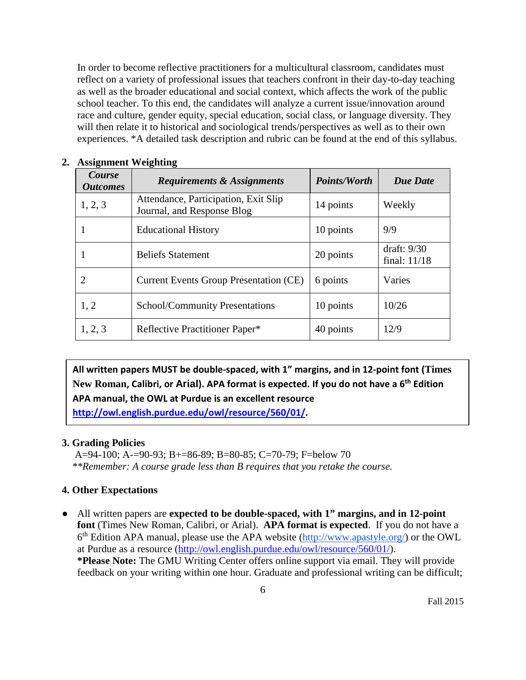In order to become reflective practitioners for a multicultural classroom, candidates must reflect on a variety of professional issues that teachers confront in their day-to-day teaching as well as the broader educational and social context, which affects the work of the public school teacher. To this end, the candidates will analyze a current issue/innovation around race and culture, gender equity, special education, social class, or language diversity. They will then relate it to historical and sociological trends/perspectives as well as to their own experiences. \*A detailed task description and rubric can be found at the end of this syllabus.

| $\overline{ }$<br>Course<br><b>Outcomes</b> | <b>Requirements &amp; Assignments</b>                              | <b>Points/Worth</b> | <b>Due Date</b>               |
|---------------------------------------------|--------------------------------------------------------------------|---------------------|-------------------------------|
| 1, 2, 3                                     | Attendance, Participation, Exit Slip<br>Journal, and Response Blog | 14 points           | Weekly                        |
|                                             | <b>Educational History</b>                                         | 10 points           | 9/9                           |
|                                             | <b>Beliefs Statement</b>                                           | 20 points           | draft: $9/30$<br>final: 11/18 |
| 2                                           | <b>Current Events Group Presentation (CE)</b>                      | 6 points            | Varies                        |
| 1, 2                                        | <b>School/Community Presentations</b>                              | 10 points           | 10/26                         |
| 1, 2, 3                                     | Reflective Practitioner Paper*                                     | 40 points           | 12/9                          |

#### **2. Assignment Weighting**

**All written papers MUST be double-spaced, with 1" margins, and in 12-point font (Times New Roman, Calibri, or Arial). APA format is expected. If you do not have a 6th Edition APA manual, the OWL at Purdue is an excellent resource http://owl.english.purdue.edu/owl/resource/560/01/.**

## **3. Grading Policies**

 A=94-100; A-=90-93; B+=86-89; B=80-85; C=70-79; F=below 70  *\*\*Remember: A course grade less than B requires that you retake the course.*

## **4. Other Expectations**

● All written papers are **expected to be double-spaced, with 1" margins, and in 12-point font** (Times New Roman, Calibri, or Arial). **APA format is expected**. If you do not have a 6<sup>th</sup> Edition APA manual, please use the APA website [\(http://www.apastyle.org/\)](http://www.apastyle.org/) or the OWL at Purdue as a resource [\(http://owl.english.purdue.edu/owl/resource/560/01/\)](http://owl.english.purdue.edu/owl/resource/560/01/). **\*Please Note:** The GMU Writing Center offers online support via email. They will provide feedback on your writing within one hour. Graduate and professional writing can be difficult;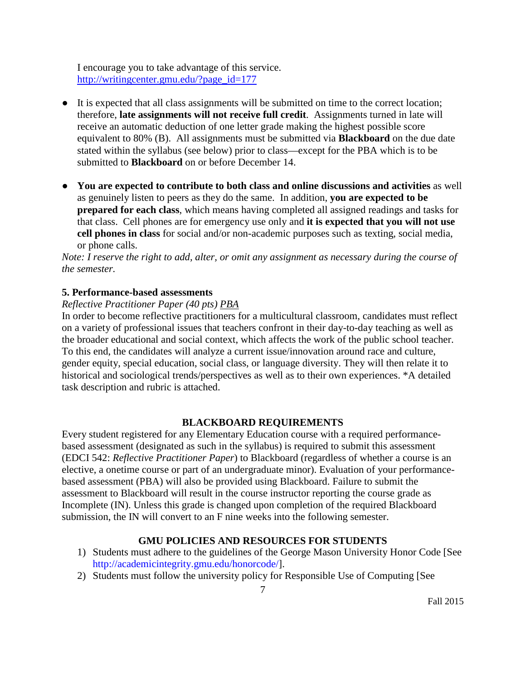I encourage you to take advantage of this service. [http://writingcenter.gmu.edu/?page\\_id=177](http://writingcenter.gmu.edu/?page_id=177)

- It is expected that all class assignments will be submitted on time to the correct location; therefore, **late assignments will not receive full credit**. Assignments turned in late will receive an automatic deduction of one letter grade making the highest possible score equivalent to 80% (B). All assignments must be submitted via **Blackboard** on the due date stated within the syllabus (see below) prior to class—except for the PBA which is to be submitted to **Blackboard** on or before December 14.
- **You are expected to contribute to both class and online discussions and activities** as well as genuinely listen to peers as they do the same. In addition, **you are expected to be prepared for each class**, which means having completed all assigned readings and tasks for that class. Cell phones are for emergency use only and **it is expected that you will not use cell phones in class** for social and/or non-academic purposes such as texting, social media, or phone calls.

*Note: I reserve the right to add, alter, or omit any assignment as necessary during the course of the semester.*

## **5. Performance-based assessments**

## *Reflective Practitioner Paper (40 pts) PBA*

In order to become reflective practitioners for a multicultural classroom, candidates must reflect on a variety of professional issues that teachers confront in their day-to-day teaching as well as the broader educational and social context, which affects the work of the public school teacher. To this end, the candidates will analyze a current issue/innovation around race and culture, gender equity, special education, social class, or language diversity. They will then relate it to historical and sociological trends/perspectives as well as to their own experiences. \*A detailed task description and rubric is attached.

# **BLACKBOARD REQUIREMENTS**

Every student registered for any Elementary Education course with a required performancebased assessment (designated as such in the syllabus) is required to submit this assessment (EDCI 542: *Reflective Practitioner Paper*) to Blackboard (regardless of whether a course is an elective, a onetime course or part of an undergraduate minor). Evaluation of your performancebased assessment (PBA) will also be provided using Blackboard. Failure to submit the assessment to Blackboard will result in the course instructor reporting the course grade as Incomplete (IN). Unless this grade is changed upon completion of the required Blackboard submission, the IN will convert to an F nine weeks into the following semester.

# **GMU POLICIES AND RESOURCES FOR STUDENTS**

- 1) Students must adhere to the guidelines of the George Mason University Honor Code [See [http://academicintegrity.gmu.edu/honorcode/\]](http://academicintegrity.gmu.edu/honorcode/).
- 2) Students must follow the university policy for Responsible Use of Computing [See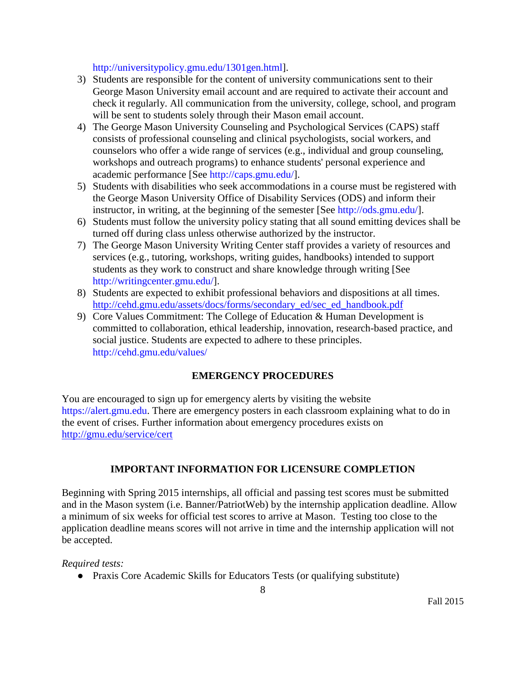[http://universitypolicy.gmu.edu/1301gen.html\]](http://universitypolicy.gmu.edu/1301gen.html).

- 3) Students are responsible for the content of university communications sent to their George Mason University email account and are required to activate their account and check it regularly. All communication from the university, college, school, and program will be sent to students solely through their Mason email account.
- 4) The George Mason University Counseling and Psychological Services (CAPS) staff consists of professional counseling and clinical psychologists, social workers, and counselors who offer a wide range of services (e.g., individual and group counseling, workshops and outreach programs) to enhance students' personal experience and academic performance [See [http://caps.gmu.edu/\]](http://caps.gmu.edu/).
- 5) Students with disabilities who seek accommodations in a course must be registered with the George Mason University Office of Disability Services (ODS) and inform their instructor, in writing, at the beginning of the semester [See [http://ods.gmu.edu/\]](http://ods.gmu.edu/).
- 6) Students must follow the university policy stating that all sound emitting devices shall be turned off during class unless otherwise authorized by the instructor.
- 7) The George Mason University Writing Center staff provides a variety of resources and services (e.g., tutoring, workshops, writing guides, handbooks) intended to support students as they work to construct and share knowledge through writing [See [http://writingcenter.gmu.edu/\]](http://writingcenter.gmu.edu/).
- 8) Students are expected to exhibit professional behaviors and dispositions at all times. [http://cehd.gmu.edu/assets/docs/forms/secondary\\_ed/sec\\_ed\\_handbook.pdf](http://cehd.gmu.edu/assets/docs/forms/secondary_ed/sec_ed_handbook.pdf)
- 9) Core Values Commitment: The College of Education & Human Development is committed to collaboration, ethical leadership, innovation, research-based practice, and social justice. Students are expected to adhere to these principles. <http://cehd.gmu.edu/values/>

# **EMERGENCY PROCEDURES**

You are encouraged to sign up for emergency alerts by visiting the website [https://alert.gmu.edu.](https://alert.gmu.edu/) There are emergency posters in each classroom explaining what to do in the event of crises. Further information about emergency procedures exists on <http://gmu.edu/service/cert>

# **IMPORTANT INFORMATION FOR LICENSURE COMPLETION**

Beginning with Spring 2015 internships, all official and passing test scores must be submitted and in the Mason system (i.e. Banner/PatriotWeb) by the internship application deadline. Allow a minimum of six weeks for official test scores to arrive at Mason. Testing too close to the application deadline means scores will not arrive in time and the internship application will not be accepted.

## *Required tests:*

● Praxis Core Academic Skills for Educators Tests (or qualifying substitute)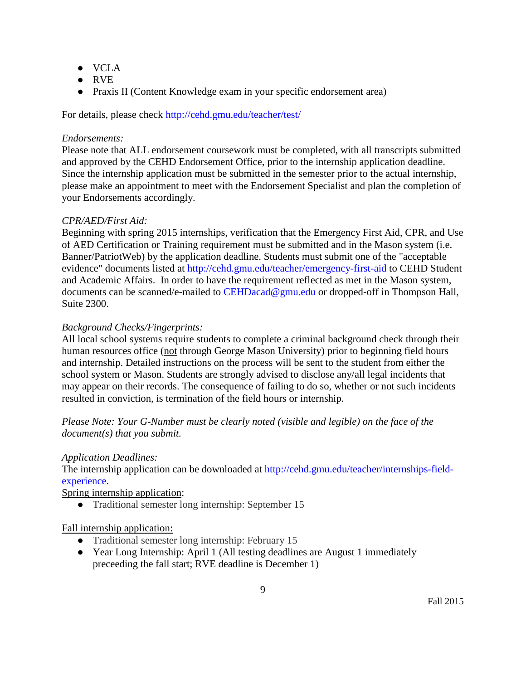- VCLA
- RVE
- Praxis II (Content Knowledge exam in your specific endorsement area)

For details, please check<http://cehd.gmu.edu/teacher/test/>

## *Endorsements:*

Please note that ALL endorsement coursework must be completed, with all transcripts submitted and approved by the CEHD Endorsement Office, prior to the internship application deadline. Since the internship application must be submitted in the semester prior to the actual internship, please make an appointment to meet with the Endorsement Specialist and plan the completion of your Endorsements accordingly.

## *CPR/AED/First Aid:*

Beginning with spring 2015 internships, verification that the Emergency First Aid, CPR, and Use of AED Certification or Training requirement must be submitted and in the Mason system (i.e. Banner/PatriotWeb) by the application deadline. Students must submit one of the "acceptable evidence" documents listed at<http://cehd.gmu.edu/teacher/emergency-first-aid> to CEHD Student and Academic Affairs. In order to have the requirement reflected as met in the Mason system, documents can be scanned/e-mailed to [CEHDacad@gmu.edu](mailto:cehdacad@gmu.edu) or dropped-off in Thompson Hall, Suite 2300.

## *Background Checks/Fingerprints:*

All local school systems require students to complete a criminal background check through their human resources office (not through George Mason University) prior to beginning field hours and internship. Detailed instructions on the process will be sent to the student from either the school system or Mason. Students are strongly advised to disclose any/all legal incidents that may appear on their records. The consequence of failing to do so, whether or not such incidents resulted in conviction, is termination of the field hours or internship.

*Please Note: Your G-Number must be clearly noted (visible and legible) on the face of the document(s) that you submit.*

# *Application Deadlines:*

The internship application can be downloaded at [http://cehd.gmu.edu/teacher/internships-field](http://cehd.gmu.edu/teacher/internships-field-experience)[experience.](http://cehd.gmu.edu/teacher/internships-field-experience)

Spring internship application:

● Traditional semester long internship: September 15

# Fall internship application:

- Traditional semester long internship: February 15
- Year Long Internship: April 1 (All testing deadlines are August 1 immediately preceeding the fall start; RVE deadline is December 1)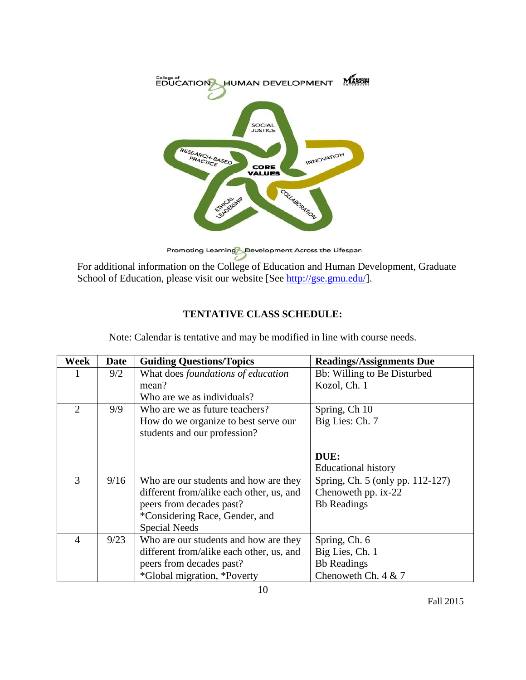

Promoting Learning Development Across the Lifespan

For additional information on the College of Education and Human Development, Graduate School of Education, please visit our website [See [http://gse.gmu.edu/\]](http://gse.gmu.edu/).

# **TENTATIVE CLASS SCHEDULE:**

| Week           | <b>Date</b> | <b>Guiding Questions/Topics</b>          | <b>Readings/Assignments Due</b>  |
|----------------|-------------|------------------------------------------|----------------------------------|
| 1              | 9/2         | What does foundations of education       | Bb: Willing to Be Disturbed      |
|                |             | mean?                                    | Kozol, Ch. 1                     |
|                |             | Who are we as individuals?               |                                  |
| $\overline{2}$ | 9/9         | Who are we as future teachers?           | Spring, Ch 10                    |
|                |             | How do we organize to best serve our     | Big Lies: Ch. 7                  |
|                |             | students and our profession?             |                                  |
|                |             |                                          |                                  |
|                |             |                                          | DUE:                             |
|                |             |                                          | Educational history              |
| 3              | 9/16        | Who are our students and how are they    | Spring, Ch. 5 (only pp. 112-127) |
|                |             | different from/alike each other, us, and | Chenoweth pp. ix-22              |
|                |             | peers from decades past?                 | <b>Bb</b> Readings               |
|                |             | *Considering Race, Gender, and           |                                  |
|                |             | <b>Special Needs</b>                     |                                  |
| $\overline{4}$ | 9/23        | Who are our students and how are they    | Spring, Ch. 6                    |
|                |             | different from/alike each other, us, and | Big Lies, Ch. 1                  |
|                |             | peers from decades past?                 | <b>Bb</b> Readings               |
|                |             | *Global migration, *Poverty              | Chenoweth Ch. $4 & 7$            |

Note: Calendar is tentative and may be modified in line with course needs.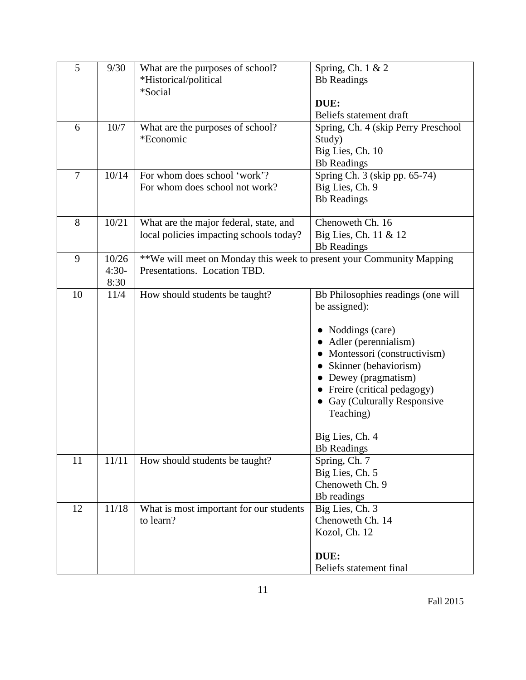| 5              | 9/30                     | What are the purposes of school?<br>*Historical/political<br>*Social                                 | Spring, Ch. 1 & 2<br><b>Bb</b> Readings<br>DUE:                                                                                                                                                                                                                                                              |
|----------------|--------------------------|------------------------------------------------------------------------------------------------------|--------------------------------------------------------------------------------------------------------------------------------------------------------------------------------------------------------------------------------------------------------------------------------------------------------------|
| 6              | 10/7                     | What are the purposes of school?<br>*Economic                                                        | Beliefs statement draft<br>Spring, Ch. 4 (skip Perry Preschool<br>Study)<br>Big Lies, Ch. 10<br><b>Bb</b> Readings                                                                                                                                                                                           |
| $\overline{7}$ | 10/14                    | For whom does school 'work'?<br>For whom does school not work?                                       | Spring Ch. 3 (skip pp. 65-74)<br>Big Lies, Ch. 9<br><b>Bb</b> Readings                                                                                                                                                                                                                                       |
| 8              | 10/21                    | What are the major federal, state, and<br>local policies impacting schools today?                    | Chenoweth Ch. 16<br>Big Lies, Ch. 11 & 12<br><b>Bb</b> Readings                                                                                                                                                                                                                                              |
| 9              | 10/26<br>$4:30-$<br>8:30 | **We will meet on Monday this week to present your Community Mapping<br>Presentations. Location TBD. |                                                                                                                                                                                                                                                                                                              |
| 10             | 11/4                     | How should students be taught?                                                                       | Bb Philosophies readings (one will<br>be assigned):<br>• Noddings (care)<br>• Adler (perennialism)<br>• Montessori (constructivism)<br>• Skinner (behaviorism)<br>• Dewey (pragmatism)<br>• Freire (critical pedagogy)<br>• Gay (Culturally Responsive<br>Teaching)<br>Big Lies, Ch. 4<br><b>Bb</b> Readings |
| 11             | 11/11                    | How should students be taught?                                                                       | Spring, Ch. 7<br>Big Lies, Ch. 5<br>Chenoweth Ch. 9<br>Bb readings                                                                                                                                                                                                                                           |
| 12             | 11/18                    | What is most important for our students<br>to learn?                                                 | Big Lies, Ch. 3<br>Chenoweth Ch. 14<br>Kozol, Ch. 12<br>DUE:<br>Beliefs statement final                                                                                                                                                                                                                      |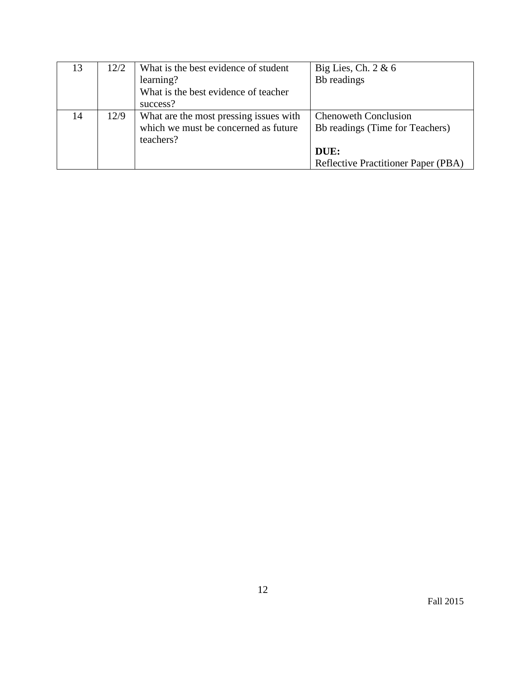| 13 | 12/2 | What is the best evidence of student   | Big Lies, Ch. $2 \& 6$              |
|----|------|----------------------------------------|-------------------------------------|
|    |      | learning?                              | Bb readings                         |
|    |      | What is the best evidence of teacher   |                                     |
|    |      | success?                               |                                     |
| 14 | 12/9 | What are the most pressing issues with | <b>Chenoweth Conclusion</b>         |
|    |      | which we must be concerned as future   | Bb readings (Time for Teachers)     |
|    |      | teachers?                              |                                     |
|    |      |                                        | DUE:                                |
|    |      |                                        | Reflective Practitioner Paper (PBA) |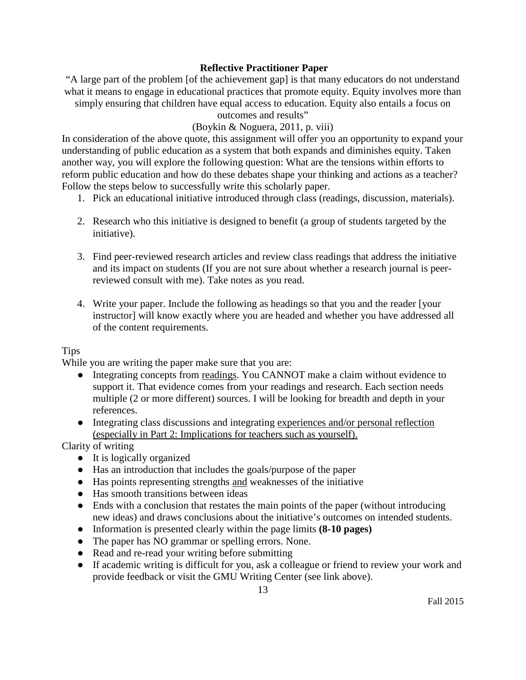## **Reflective Practitioner Paper**

"A large part of the problem [of the achievement gap] is that many educators do not understand what it means to engage in educational practices that promote equity. Equity involves more than simply ensuring that children have equal access to education. Equity also entails a focus on

# outcomes and results"

## (Boykin & Noguera, 2011, p. viii)

In consideration of the above quote, this assignment will offer you an opportunity to expand your understanding of public education as a system that both expands and diminishes equity. Taken another way, you will explore the following question: What are the tensions within efforts to reform public education and how do these debates shape your thinking and actions as a teacher? Follow the steps below to successfully write this scholarly paper.

- 1. Pick an educational initiative introduced through class (readings, discussion, materials).
- 2. Research who this initiative is designed to benefit (a group of students targeted by the initiative).
- 3. Find peer-reviewed research articles and review class readings that address the initiative and its impact on students (If you are not sure about whether a research journal is peerreviewed consult with me). Take notes as you read.
- 4. Write your paper. Include the following as headings so that you and the reader [your instructor] will know exactly where you are headed and whether you have addressed all of the content requirements.

## **Tips**

While you are writing the paper make sure that you are:

- Integrating concepts from readings. You CANNOT make a claim without evidence to support it. That evidence comes from your readings and research. Each section needs multiple (2 or more different) sources. I will be looking for breadth and depth in your references.
- Integrating class discussions and integrating experiences and/or personal reflection (especially in Part 2: Implications for teachers such as yourself).

Clarity of writing

- It is logically organized
- Has an introduction that includes the goals/purpose of the paper
- Has points representing strengths and weaknesses of the initiative
- Has smooth transitions between ideas
- Ends with a conclusion that restates the main points of the paper (without introducing new ideas) and draws conclusions about the initiative's outcomes on intended students.
- Information is presented clearly within the page limits **(8-10 pages)**
- The paper has NO grammar or spelling errors. None.
- Read and re-read your writing before submitting
- If academic writing is difficult for you, ask a colleague or friend to review your work and provide feedback or visit the GMU Writing Center (see link above).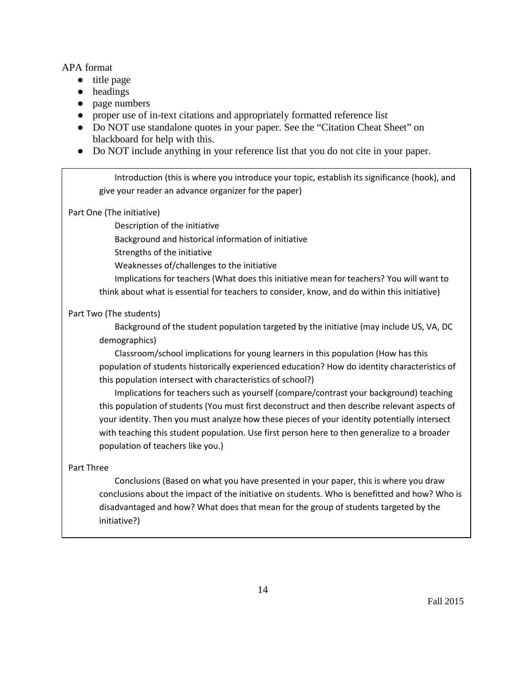APA format

- title page
- headings
- page numbers
- proper use of in-text citations and appropriately formatted reference list
- Do NOT use standalone quotes in your paper. See the "Citation Cheat Sheet" on blackboard for help with this.
- Do NOT include anything in your reference list that you do not cite in your paper.

Introduction (this is where you introduce your topic, establish its significance (hook), and give your reader an advance organizer for the paper)

Part One (The initiative)

Description of the initiative

Background and historical information of initiative

Strengths of the initiative

Weaknesses of/challenges to the initiative

Implications for teachers (What does this initiative mean for teachers? You will want to think about what is essential for teachers to consider, know, and do within this initiative)

## Part Two (The students)

Background of the student population targeted by the initiative (may include US, VA, DC demographics)

Classroom/school implications for young learners in this population (How has this population of students historically experienced education? How do identity characteristics of this population intersect with characteristics of school?)

Implications for teachers such as yourself (compare/contrast your background) teaching this population of students (You must first deconstruct and then describe relevant aspects of your identity. Then you must analyze how these pieces of your identity potentially intersect with teaching this student population. Use first person here to then generalize to a broader population of teachers like you.)

## Part Three

Conclusions (Based on what you have presented in your paper, this is where you draw conclusions about the impact of the initiative on students. Who is benefitted and how? Who is disadvantaged and how? What does that mean for the group of students targeted by the initiative?)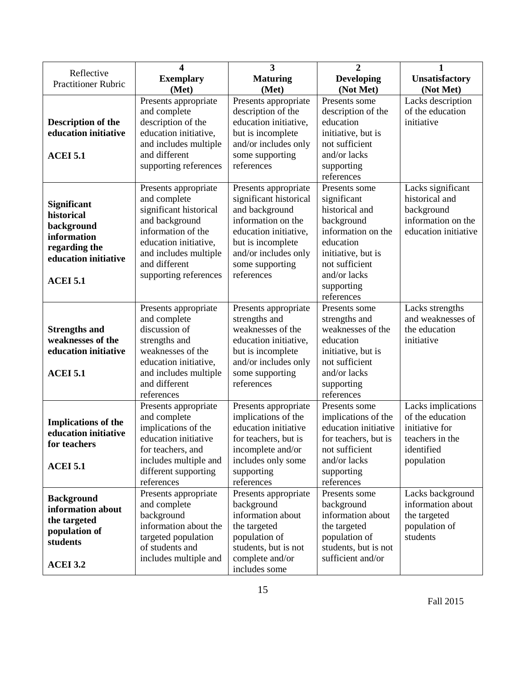|                                                    | 4                      | 3                      | $\overline{2}$       | 1                    |
|----------------------------------------------------|------------------------|------------------------|----------------------|----------------------|
| Reflective                                         | <b>Exemplary</b>       | <b>Maturing</b>        | <b>Developing</b>    | Unsatisfactory       |
| <b>Practitioner Rubric</b>                         | (Met)                  | (Met)                  | (Not Met)            | (Not Met)            |
|                                                    | Presents appropriate   | Presents appropriate   | Presents some        | Lacks description    |
|                                                    | and complete           | description of the     | description of the   | of the education     |
| <b>Description of the</b>                          | description of the     | education initiative,  | education            | initiative           |
| education initiative                               | education initiative,  | but is incomplete      | initiative, but is   |                      |
|                                                    | and includes multiple  | and/or includes only   | not sufficient       |                      |
| <b>ACEI 5.1</b>                                    | and different          | some supporting        | and/or lacks         |                      |
|                                                    | supporting references  | references             | supporting           |                      |
|                                                    |                        |                        | references           |                      |
|                                                    | Presents appropriate   | Presents appropriate   | Presents some        | Lacks significant    |
|                                                    | and complete           | significant historical | significant          | historical and       |
| Significant                                        | significant historical | and background         | historical and       | background           |
| historical                                         | and background         | information on the     | background           | information on the   |
| background                                         | information of the     | education initiative,  | information on the   | education initiative |
| information                                        | education initiative,  | but is incomplete      | education            |                      |
| regarding the                                      | and includes multiple  | and/or includes only   | initiative, but is   |                      |
| education initiative                               | and different          | some supporting        | not sufficient       |                      |
|                                                    | supporting references  | references             | and/or lacks         |                      |
| <b>ACEI 5.1</b>                                    |                        |                        | supporting           |                      |
|                                                    |                        |                        | references           |                      |
|                                                    | Presents appropriate   | Presents appropriate   | Presents some        | Lacks strengths      |
|                                                    | and complete           | strengths and          | strengths and        | and weaknesses of    |
| <b>Strengths and</b>                               | discussion of          | weaknesses of the      | weaknesses of the    | the education        |
| weaknesses of the                                  | strengths and          | education initiative,  | education            | initiative           |
| education initiative                               | weaknesses of the      | but is incomplete      | initiative, but is   |                      |
|                                                    | education initiative,  | and/or includes only   | not sufficient       |                      |
| <b>ACEI 5.1</b>                                    | and includes multiple  | some supporting        | and/or lacks         |                      |
|                                                    | and different          | references             | supporting           |                      |
|                                                    | references             |                        | references           |                      |
|                                                    | Presents appropriate   | Presents appropriate   | Presents some        | Lacks implications   |
|                                                    | and complete           | implications of the    | implications of the  | of the education     |
| <b>Implications of the</b><br>education initiative | implications of the    | education initiative   | education initiative | initiative for       |
|                                                    | education initiative   | for teachers, but is   | for teachers, but is | teachers in the      |
| for teachers                                       | for teachers, and      | incomplete and/or      | not sufficient       | identified           |
| <b>ACEI 5.1</b>                                    | includes multiple and  | includes only some     | and/or lacks         | population           |
|                                                    | different supporting   | supporting             | supporting           |                      |
|                                                    | references             | references             | references           |                      |
| <b>Background</b>                                  | Presents appropriate   | Presents appropriate   | Presents some        | Lacks background     |
| information about                                  | and complete           | background             | background           | information about    |
| the targeted                                       | background             | information about      | information about    | the targeted         |
| population of                                      | information about the  | the targeted           | the targeted         | population of        |
| students                                           | targeted population    | population of          | population of        | students             |
|                                                    | of students and        | students, but is not   | students, but is not |                      |
| <b>ACEI 3.2</b>                                    | includes multiple and  | complete and/or        | sufficient and/or    |                      |
|                                                    |                        | includes some          |                      |                      |

15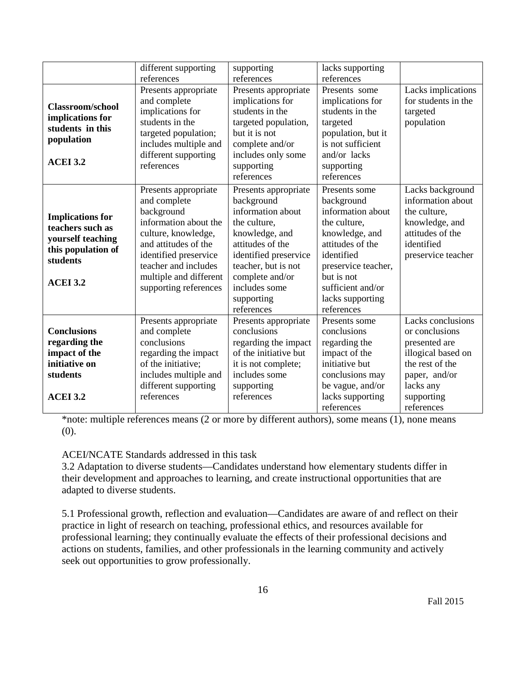| different supporting<br>supporting                                                                                                                                                                                                                                                                                                                                                                                                                                                                                      |                                                                                                                                                                                                                                                                                                                                                                                                                                                                                                                                                                                                                                                                                     | lacks supporting                                                                                                                                         |                                                                                                                                                           |                                                                                                                                                         |
|-------------------------------------------------------------------------------------------------------------------------------------------------------------------------------------------------------------------------------------------------------------------------------------------------------------------------------------------------------------------------------------------------------------------------------------------------------------------------------------------------------------------------|-------------------------------------------------------------------------------------------------------------------------------------------------------------------------------------------------------------------------------------------------------------------------------------------------------------------------------------------------------------------------------------------------------------------------------------------------------------------------------------------------------------------------------------------------------------------------------------------------------------------------------------------------------------------------------------|----------------------------------------------------------------------------------------------------------------------------------------------------------|-----------------------------------------------------------------------------------------------------------------------------------------------------------|---------------------------------------------------------------------------------------------------------------------------------------------------------|
| references<br>references<br>references<br>Presents appropriate<br>Presents appropriate<br>implications for<br>and complete<br><b>Classroom/school</b><br>students in the<br>implications for<br>implications for<br>students in the<br>targeted population,<br>targeted<br>students in this<br>targeted population;<br>but it is not<br>population<br>includes multiple and<br>complete and/or<br>different supporting<br>includes only some<br><b>ACEI 3.2</b><br>references<br>supporting<br>supporting<br>references |                                                                                                                                                                                                                                                                                                                                                                                                                                                                                                                                                                                                                                                                                     | Presents some<br>implications for<br>students in the<br>population, but it<br>is not sufficient<br>and/or lacks<br>references                            | Lacks implications<br>for students in the<br>targeted<br>population                                                                                       |                                                                                                                                                         |
| <b>Implications for</b><br>teachers such as<br>yourself teaching<br>this population of<br>students<br><b>ACEI 3.2</b>                                                                                                                                                                                                                                                                                                                                                                                                   | Presents appropriate<br>Presents appropriate<br>Presents some<br>and complete<br>background<br>background<br>information about<br>background<br>information about<br>information about the<br>the culture,<br>the culture,<br>culture, knowledge,<br>knowledge, and<br>knowledge, and<br>attitudes of the<br>and attitudes of the<br>attitudes of the<br>identified<br>identified preservice<br>identified preservice<br>teacher and includes<br>teacher, but is not<br>preservice teacher,<br>multiple and different<br>complete and/or<br>but is not<br>includes some<br>sufficient and/or<br>supporting references<br>lacks supporting<br>supporting<br>references<br>references |                                                                                                                                                          | Lacks background<br>information about<br>the culture,<br>knowledge, and<br>attitudes of the<br>identified<br>preservice teacher                           |                                                                                                                                                         |
| <b>Conclusions</b><br>regarding the<br>impact of the<br>initiative on<br>students<br><b>ACEI 3.2</b>                                                                                                                                                                                                                                                                                                                                                                                                                    | Presents appropriate<br>and complete<br>conclusions<br>regarding the impact<br>of the initiative;<br>includes multiple and<br>different supporting<br>references                                                                                                                                                                                                                                                                                                                                                                                                                                                                                                                    | Presents appropriate<br>conclusions<br>regarding the impact<br>of the initiative but<br>it is not complete;<br>includes some<br>supporting<br>references | Presents some<br>conclusions<br>regarding the<br>impact of the<br>initiative but<br>conclusions may<br>be vague, and/or<br>lacks supporting<br>references | Lacks conclusions<br>or conclusions<br>presented are<br>illogical based on<br>the rest of the<br>paper, and/or<br>lacks any<br>supporting<br>references |

\*note: multiple references means (2 or more by different authors), some means (1), none means (0).

## ACEI/NCATE Standards addressed in this task

3.2 Adaptation to diverse students—Candidates understand how elementary students differ in their development and approaches to learning, and create instructional opportunities that are adapted to diverse students.

5.1 Professional growth, reflection and evaluation—Candidates are aware of and reflect on their practice in light of research on teaching, professional ethics, and resources available for professional learning; they continually evaluate the effects of their professional decisions and actions on students, families, and other professionals in the learning community and actively seek out opportunities to grow professionally.